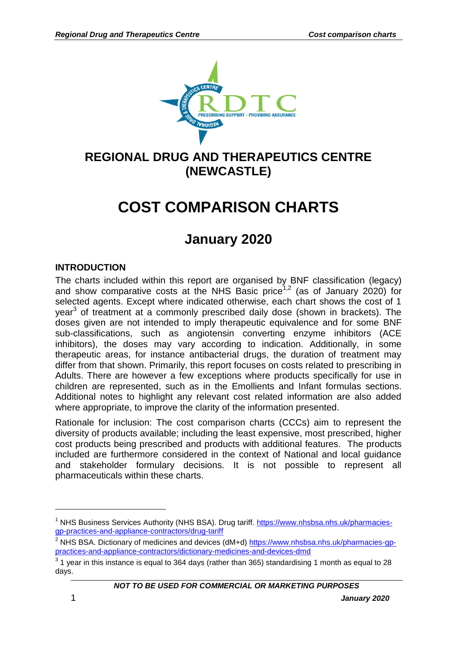

## **REGIONAL DRUG AND THERAPEUTICS CENTRE (NEWCASTLE)**

# **COST COMPARISON CHARTS**

## **January 2020**

### **INTRODUCTION**

The charts included within this report are organised by BNF classification (legacy) and show comparative costs at the NHS Basic price<sup>1,2</sup> (as of January 2020) for selected agents. Except where indicated otherwise, each chart shows the cost of 1 year<sup>3</sup> of treatment at a commonly prescribed daily dose (shown in brackets). The doses given are not intended to imply therapeutic equivalence and for some BNF sub-classifications, such as angiotensin converting enzyme inhibitors (ACE inhibitors), the doses may vary according to indication. Additionally, in some therapeutic areas, for instance antibacterial drugs, the duration of treatment may differ from that shown. Primarily, this report focuses on costs related to prescribing in Adults. There are however a few exceptions where products specifically for use in children are represented, such as in the Emollients and Infant formulas sections. Additional notes to highlight any relevant cost related information are also added where appropriate, to improve the clarity of the information presented.

Rationale for inclusion: The cost comparison charts (CCCs) aim to represent the diversity of products available; including the least expensive, most prescribed, higher cost products being prescribed and products with additional features. The products included are furthermore considered in the context of National and local guidance and stakeholder formulary decisions. It is not possible to represent all pharmaceuticals within these charts.

<u>.</u>

<sup>&</sup>lt;sup>1</sup> NHS Business Services Authority (NHS BSA). Drug tariff. [https://www.nhsbsa.nhs.uk/pharmacies](https://www.nhsbsa.nhs.uk/pharmacies-gp-practices-and-appliance-contractors/drug-tariff)[gp-practices-and-appliance-contractors/drug-tariff](https://www.nhsbsa.nhs.uk/pharmacies-gp-practices-and-appliance-contractors/drug-tariff)

<sup>&</sup>lt;sup>2</sup> NHS BSA. Dictionary of medicines and devices (dM+d) [https://www.nhsbsa.nhs.uk/pharmacies-gp](https://www.nhsbsa.nhs.uk/pharmacies-gp-practices-and-appliance-contractors/dictionary-medicines-and-devices-dmd)[practices-and-appliance-contractors/dictionary-medicines-and-devices-dmd](https://www.nhsbsa.nhs.uk/pharmacies-gp-practices-and-appliance-contractors/dictionary-medicines-and-devices-dmd)

 $3$  1 year in this instance is equal to 364 days (rather than 365) standardising 1 month as equal to 28 days.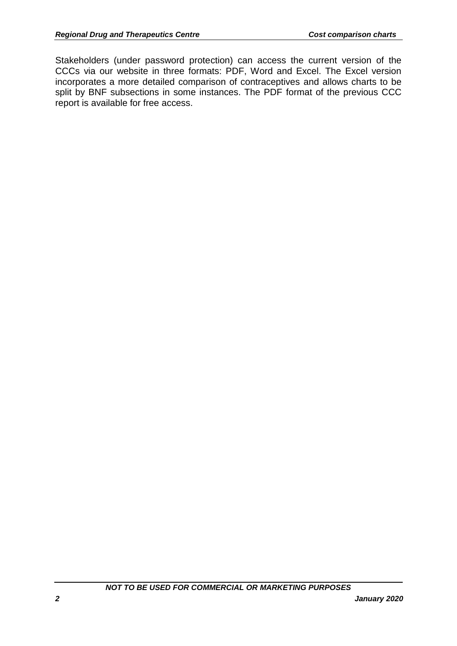Stakeholders (under password protection) can access the current version of the CCCs via our website in three formats: PDF, Word and Excel. The Excel version incorporates a more detailed comparison of contraceptives and allows charts to be split by BNF subsections in some instances. The PDF format of the previous CCC report is available for free access.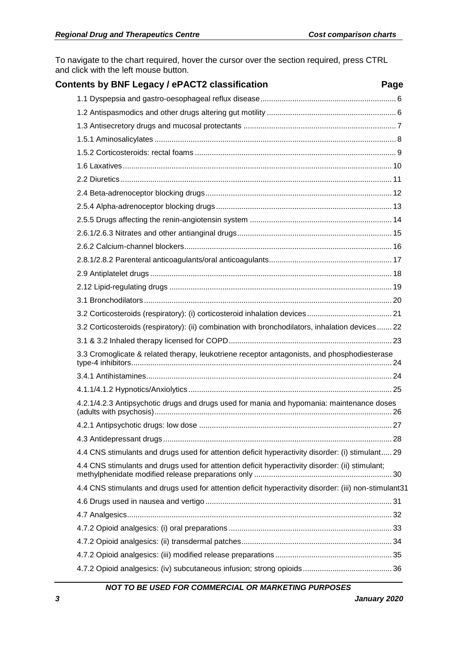To navigate to the chart required, hover the cursor over the section required, press CTRL and click with the left mouse button.

<span id="page-2-0"></span>

| Contents by BNF Legacy / ePACT2 classification                                                        | Page |
|-------------------------------------------------------------------------------------------------------|------|
|                                                                                                       |      |
|                                                                                                       |      |
|                                                                                                       |      |
|                                                                                                       |      |
|                                                                                                       |      |
|                                                                                                       |      |
|                                                                                                       |      |
|                                                                                                       |      |
|                                                                                                       |      |
|                                                                                                       |      |
|                                                                                                       |      |
|                                                                                                       |      |
|                                                                                                       |      |
|                                                                                                       |      |
|                                                                                                       |      |
|                                                                                                       |      |
|                                                                                                       |      |
| 3.2 Corticosteroids (respiratory): (ii) combination with bronchodilators, inhalation devices 22       |      |
|                                                                                                       |      |
| 3.3 Cromoglicate & related therapy, leukotriene receptor antagonists, and phosphodiesterase           |      |
|                                                                                                       |      |
|                                                                                                       |      |
| 4.2.1/4.2.3 Antipsychotic drugs and drugs used for mania and hypomania: maintenance doses             |      |
|                                                                                                       |      |
|                                                                                                       |      |
| 4.4 CNS stimulants and drugs used for attention deficit hyperactivity disorder: (i) stimulant 29      |      |
| 4.4 CNS stimulants and drugs used for attention deficit hyperactivity disorder: (ii) stimulant;       |      |
| 4.4 CNS stimulants and drugs used for attention deficit hyperactivity disorder: (iii) non-stimulant31 |      |
|                                                                                                       |      |
|                                                                                                       |      |
|                                                                                                       |      |
|                                                                                                       |      |
|                                                                                                       |      |
|                                                                                                       |      |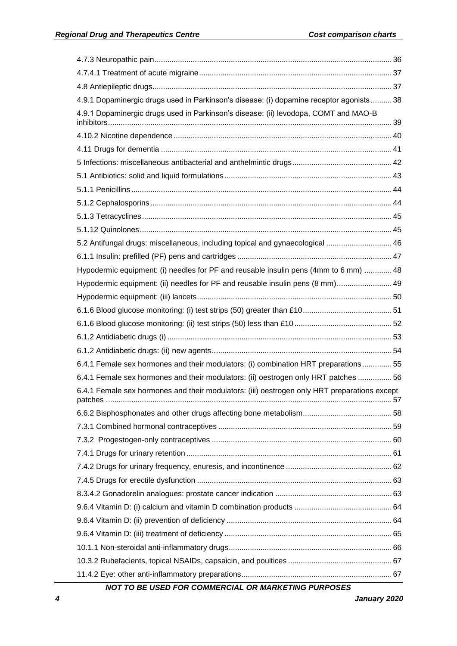| 4.9.1 Dopaminergic drugs used in Parkinson's disease: (i) dopamine receptor agonists 38      |  |
|----------------------------------------------------------------------------------------------|--|
| 4.9.1 Dopaminergic drugs used in Parkinson's disease: (ii) levodopa, COMT and MAO-B          |  |
|                                                                                              |  |
|                                                                                              |  |
|                                                                                              |  |
|                                                                                              |  |
|                                                                                              |  |
|                                                                                              |  |
|                                                                                              |  |
|                                                                                              |  |
| 5.2 Antifungal drugs: miscellaneous, including topical and gynaecological  46                |  |
|                                                                                              |  |
| Hypodermic equipment: (i) needles for PF and reusable insulin pens (4mm to 6 mm)  48         |  |
| Hypodermic equipment: (ii) needles for PF and reusable insulin pens (8 mm) 49                |  |
|                                                                                              |  |
|                                                                                              |  |
|                                                                                              |  |
|                                                                                              |  |
|                                                                                              |  |
| 6.4.1 Female sex hormones and their modulators: (i) combination HRT preparations 55          |  |
| 6.4.1 Female sex hormones and their modulators: (ii) oestrogen only HRT patches  56          |  |
| 6.4.1 Female sex hormones and their modulators: (iii) oestrogen only HRT preparations except |  |
|                                                                                              |  |
|                                                                                              |  |
|                                                                                              |  |
|                                                                                              |  |
|                                                                                              |  |
|                                                                                              |  |
|                                                                                              |  |
|                                                                                              |  |
|                                                                                              |  |
|                                                                                              |  |
|                                                                                              |  |
|                                                                                              |  |
|                                                                                              |  |
|                                                                                              |  |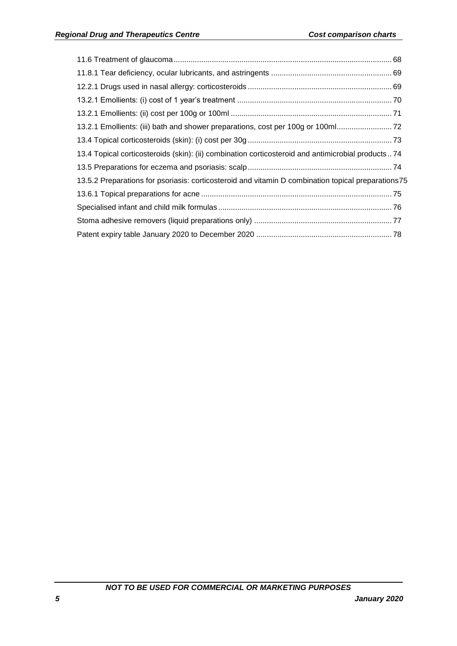| 13.2.1 Emollients: (iii) bath and shower preparations, cost per 100g or 100ml                      |
|----------------------------------------------------------------------------------------------------|
|                                                                                                    |
| 13.4 Topical corticosteroids (skin): (ii) combination corticosteroid and antimicrobial products74  |
|                                                                                                    |
| 13.5.2 Preparations for psoriasis: corticosteroid and vitamin D combination topical preparations75 |
|                                                                                                    |
|                                                                                                    |
|                                                                                                    |
|                                                                                                    |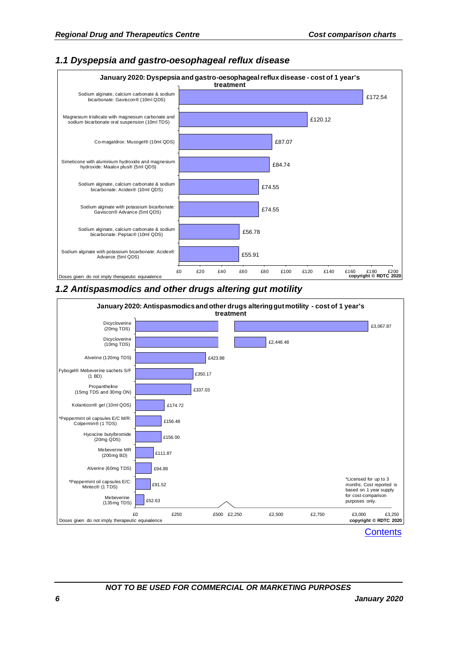Sodium alginate with potassium bicarbonate: Acidex® Advance (5ml QDS)

Doses given do not imply therapeutic equivalence

#### £56.78 £74.55 £74.55 £84.74 £87.07 £120.12 £172.54 Sodium alginate, calcium carbonate & sodium bicarbonate: Peptac® (10ml QDS) Sodium alginate with potassium bicarbonate: Gaviscon® Advance (5ml QDS) Sodium alginate, calcium carbonate & sodium bicarbonate: Acidex® (10ml QDS) Simeticone with aluminium hydroxide and magnesium hydroxide: Maalox plus® (5ml QDS) Co-magaldrox: Mucogel® (10ml QDS) Magnesium trisilicate with magnesium carbonate and sodium bicarbonate oral suspension (10ml TDS) Sodium alginate, calcium carbonate & sodium bicarbonate: Gaviscon® (10ml QDS) **January 2020: Dyspepsia and gastro-oesophageal reflux disease - cost of 1 year's treatment**

### <span id="page-5-0"></span>*1.1 Dyspepsia and gastro-oesophageal reflux disease*

### <span id="page-5-1"></span>*1.2 Antispasmodics and other drugs altering gut motility*



£55.91

£0 £20 £40 £60 £80 £100 £120 £140 £160 £180 £200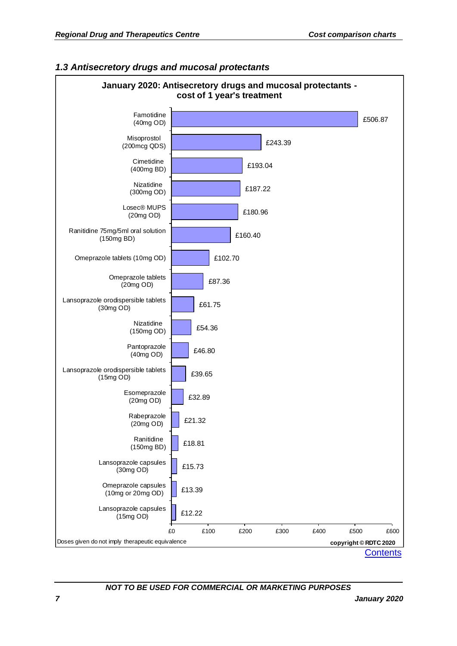

### <span id="page-6-0"></span>*1.3 Antisecretory drugs and mucosal protectants*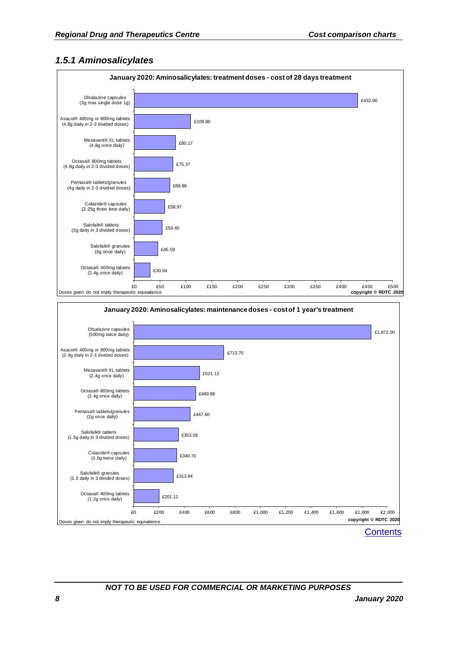### <span id="page-7-0"></span>*1.5.1 Aminosalicylates*

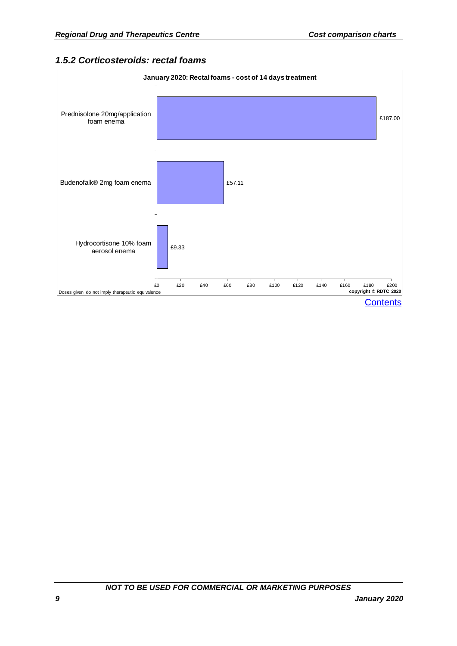### <span id="page-8-0"></span>*1.5.2 Corticosteroids: rectal foams*

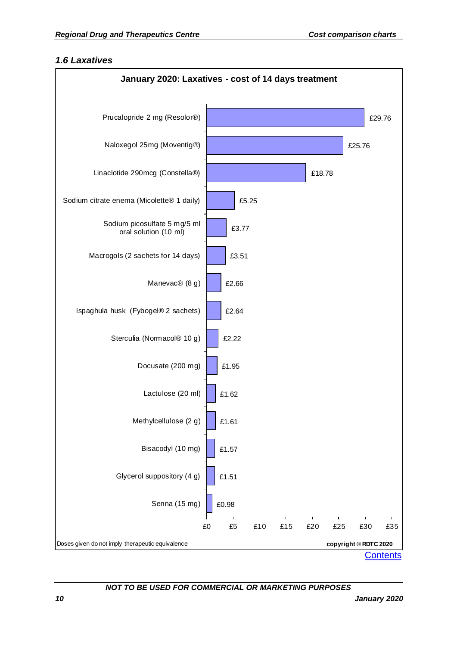### <span id="page-9-0"></span>*1.6 Laxatives*

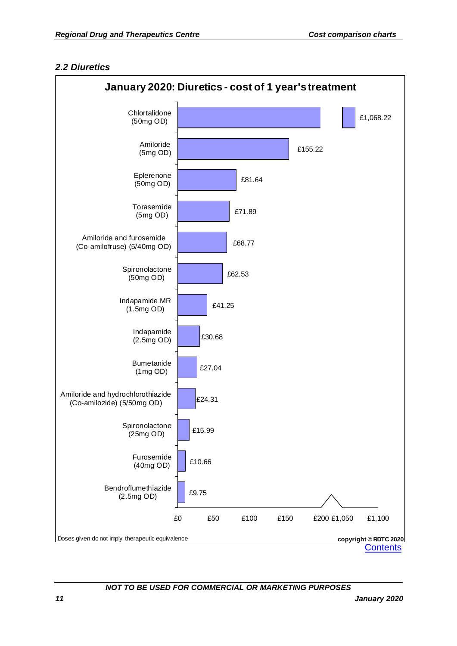### <span id="page-10-0"></span>*2.2 Diuretics*

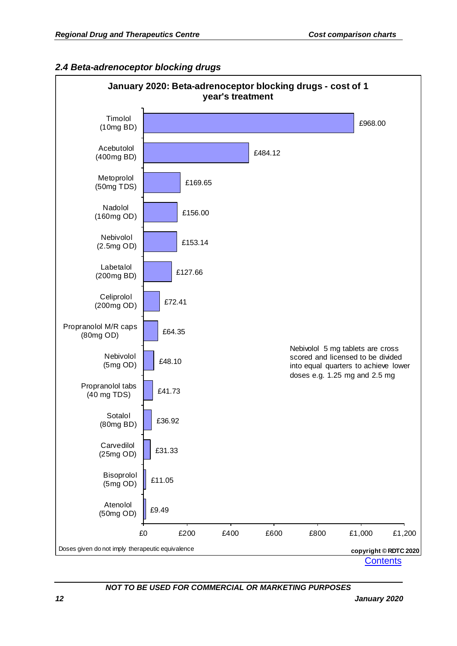### <span id="page-11-0"></span>*2.4 Beta-adrenoceptor blocking drugs*

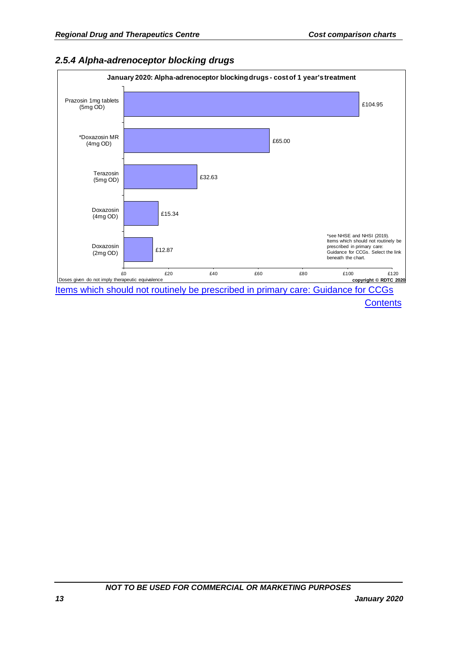<span id="page-12-0"></span>

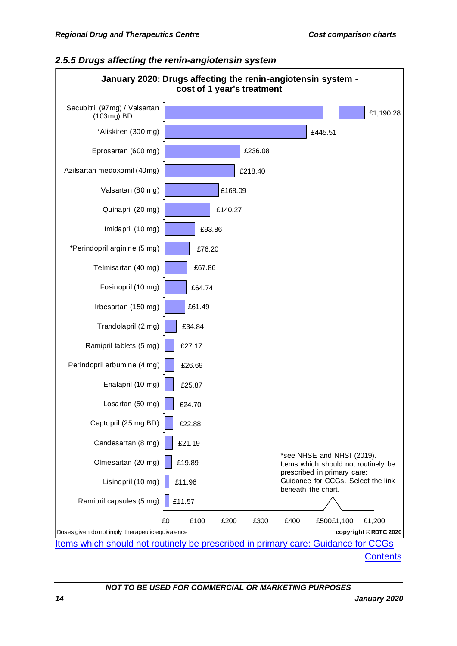### <span id="page-13-0"></span>*2.5.5 Drugs affecting the renin-angiotensin system*



**[Contents](#page-2-0)**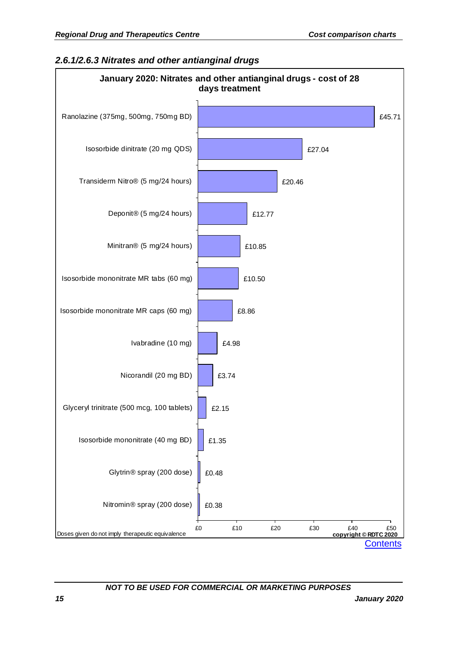### <span id="page-14-0"></span>*2.6.1/2.6.3 Nitrates and other antianginal drugs*

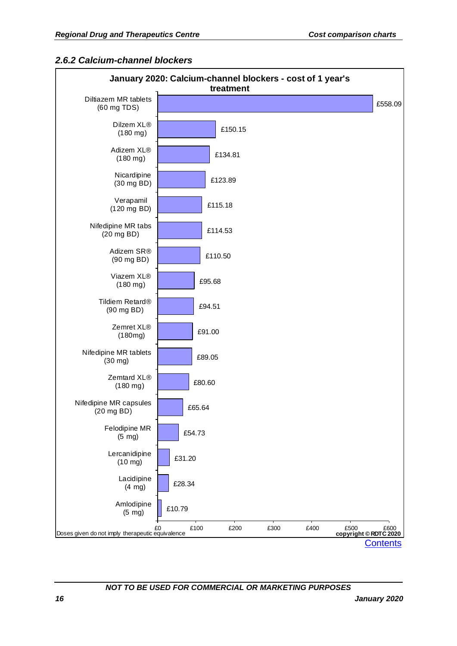### <span id="page-15-0"></span>*2.6.2 Calcium-channel blockers*

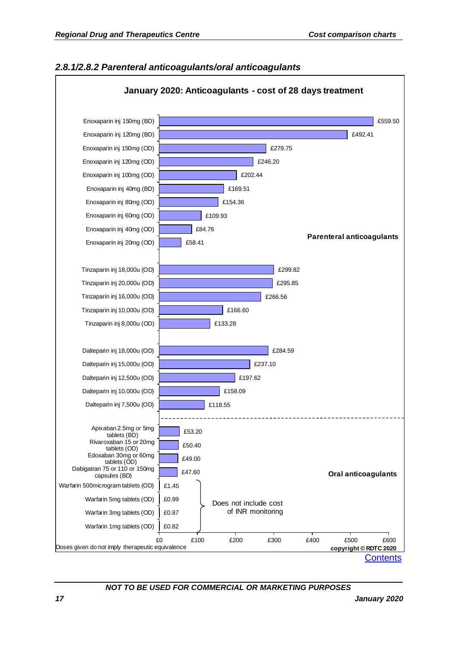

#### <span id="page-16-0"></span>*2.8.1/2.8.2 Parenteral anticoagulants/oral anticoagulants*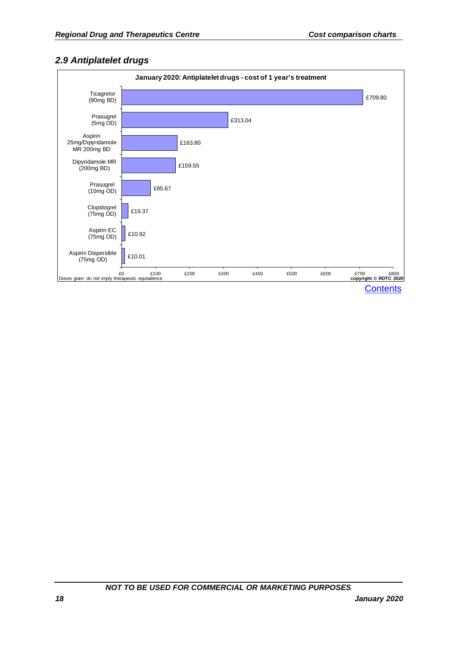### <span id="page-17-0"></span>*2.9 Antiplatelet drugs*

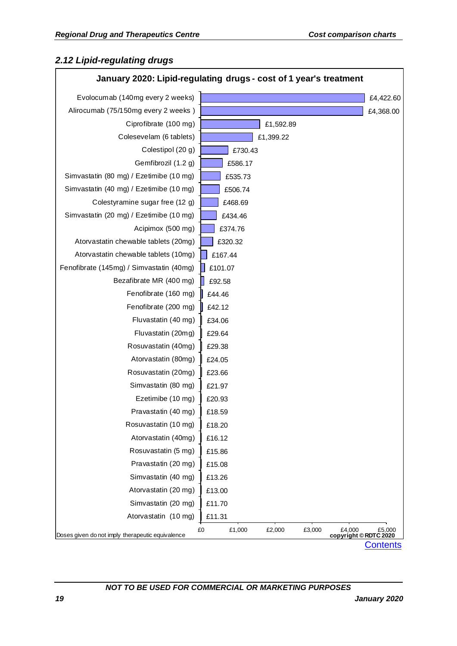### <span id="page-18-0"></span>*2.12 Lipid-regulating drugs*

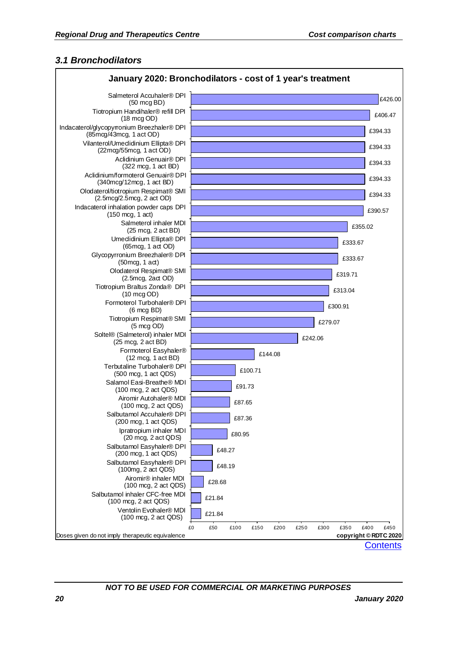### <span id="page-19-0"></span>*3.1 Bronchodilators*

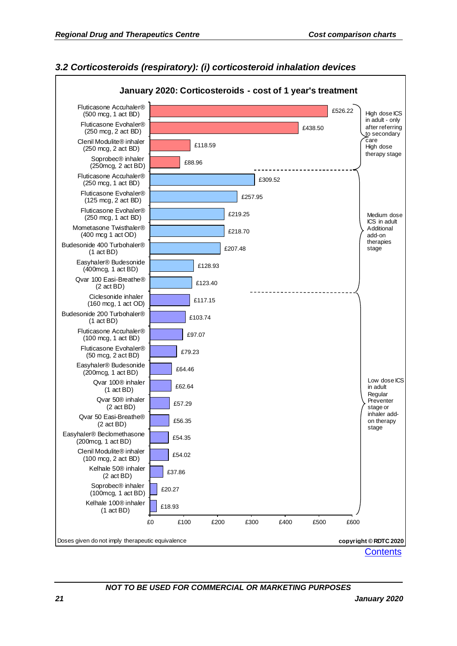### <span id="page-20-0"></span>*3.2 Corticosteroids (respiratory): (i) corticosteroid inhalation devices*

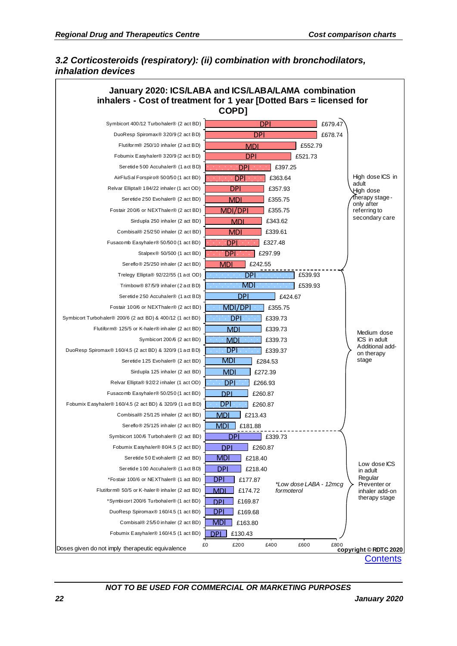### <span id="page-21-0"></span>*3.2 Corticosteroids (respiratory): (ii) combination with bronchodilators, inhalation devices*

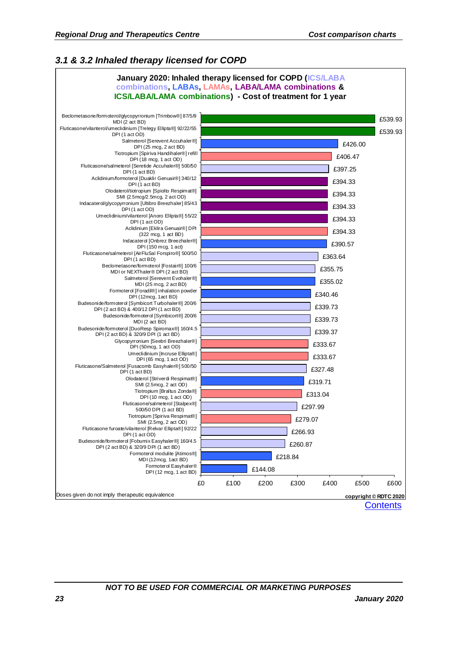### <span id="page-22-0"></span>*3.1 & 3.2 Inhaled therapy licensed for COPD*

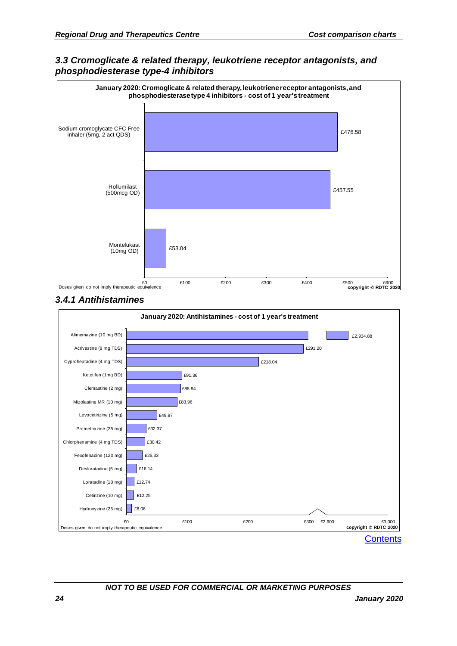<span id="page-23-0"></span>



### <span id="page-23-1"></span>*3.4.1 Antihistamines*

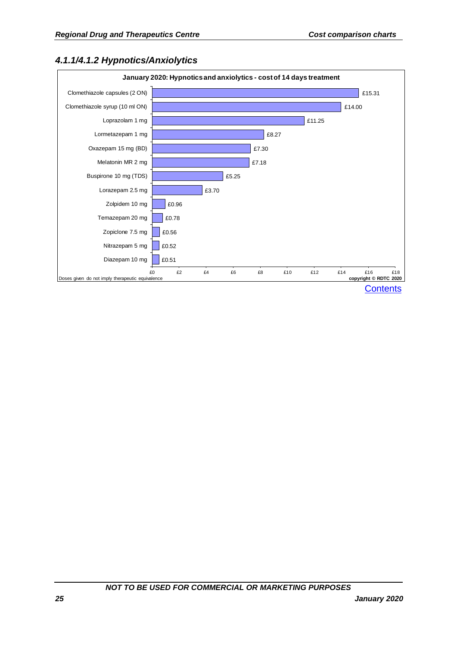### <span id="page-24-0"></span>*4.1.1/4.1.2 Hypnotics/Anxiolytics*

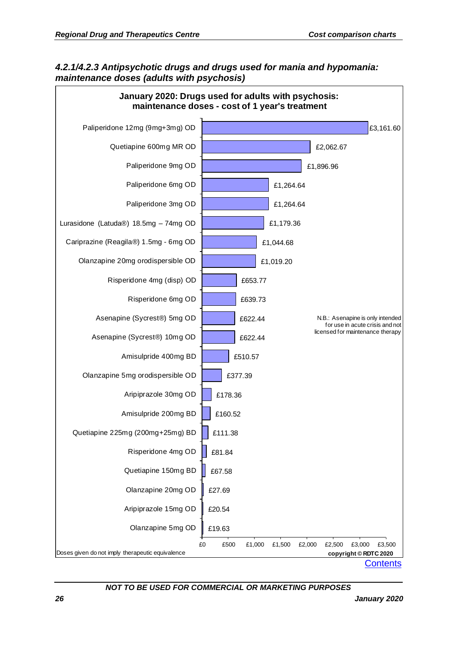### <span id="page-25-0"></span>*4.2.1/4.2.3 Antipsychotic drugs and drugs used for mania and hypomania: maintenance doses (adults with psychosis)*

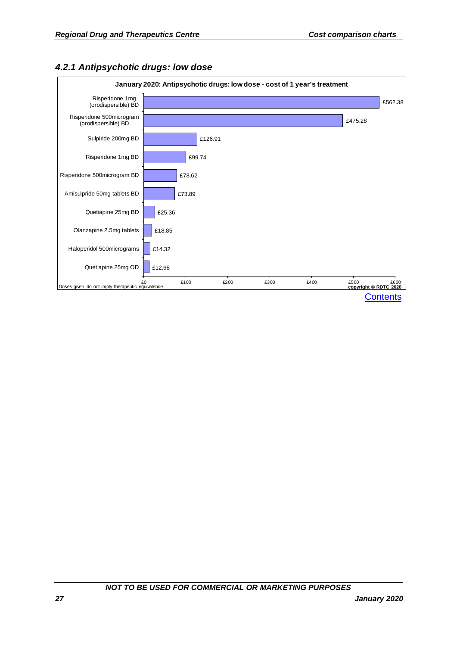

### <span id="page-26-0"></span>*4.2.1 Antipsychotic drugs: low dose*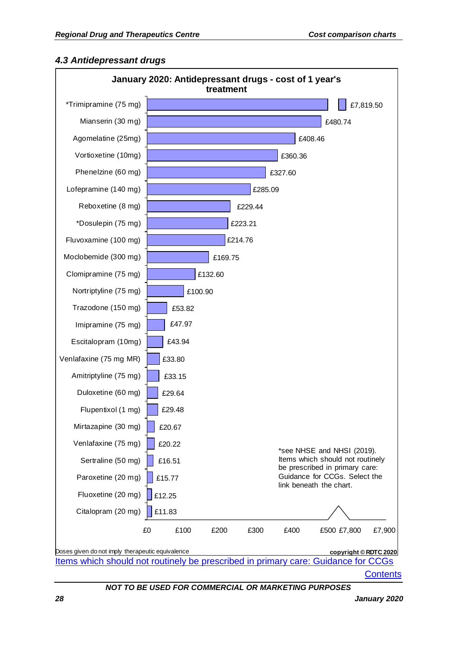### <span id="page-27-0"></span>*4.3 Antidepressant drugs*

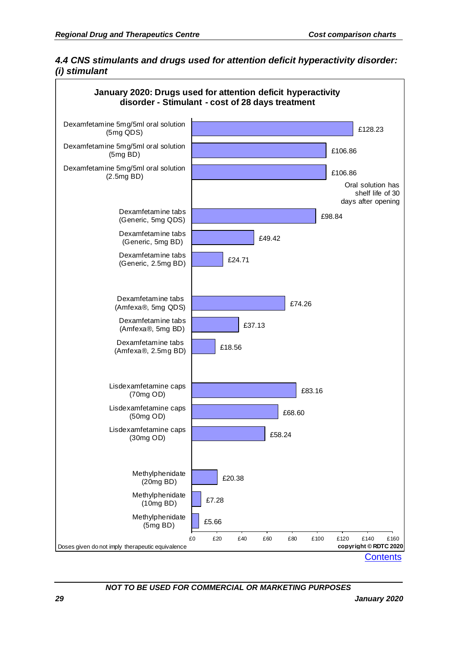### <span id="page-28-0"></span>*4.4 CNS stimulants and drugs used for attention deficit hyperactivity disorder: (i) stimulant*

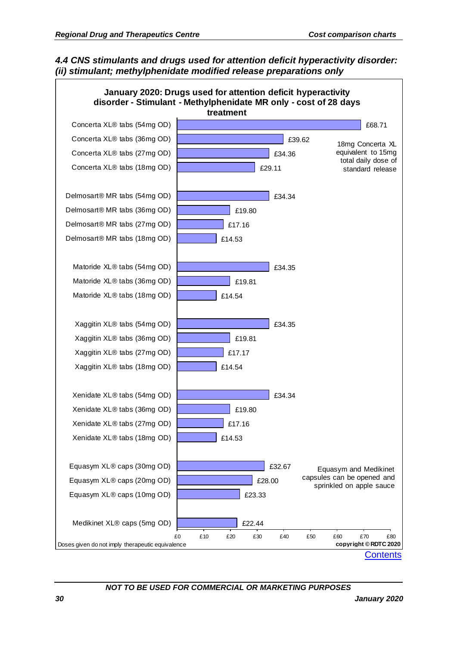### <span id="page-29-0"></span>*4.4 CNS stimulants and drugs used for attention deficit hyperactivity disorder: (ii) stimulant; methylphenidate modified release preparations only*

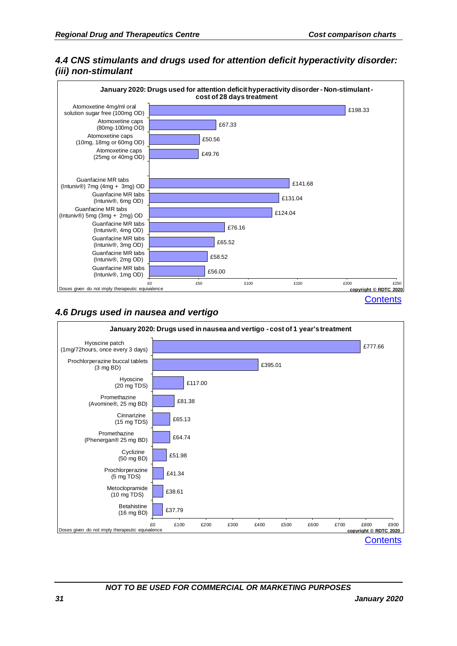### <span id="page-30-0"></span>*4.4 CNS stimulants and drugs used for attention deficit hyperactivity disorder: (iii) non-stimulant*



### <span id="page-30-1"></span>*4.6 Drugs used in nausea and vertigo*

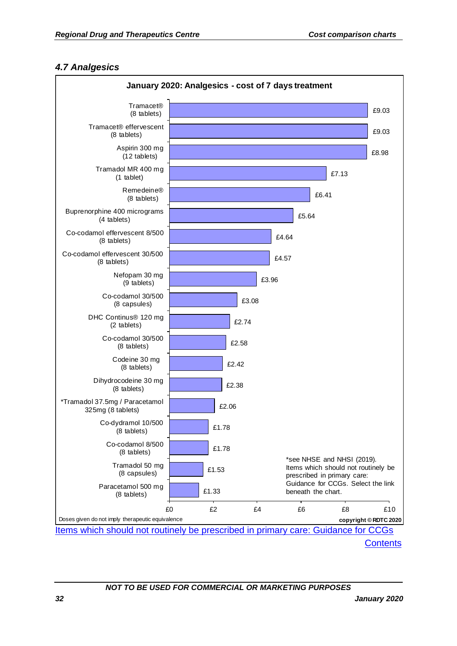### <span id="page-31-0"></span>*4.7 Analgesics*



**[Contents](#page-2-0)**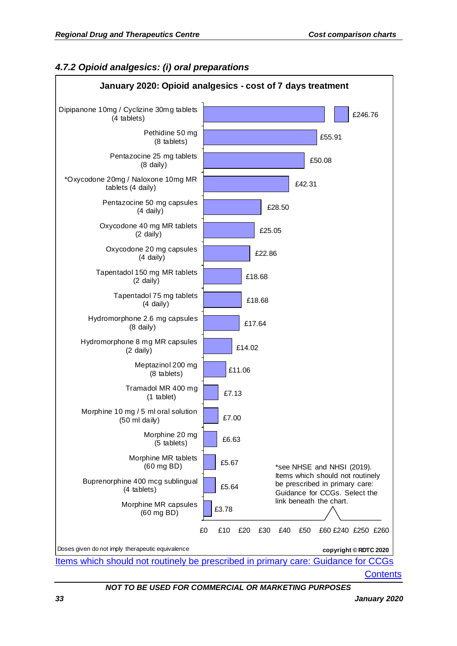### <span id="page-32-0"></span>*4.7.2 Opioid analgesics: (i) oral preparations*

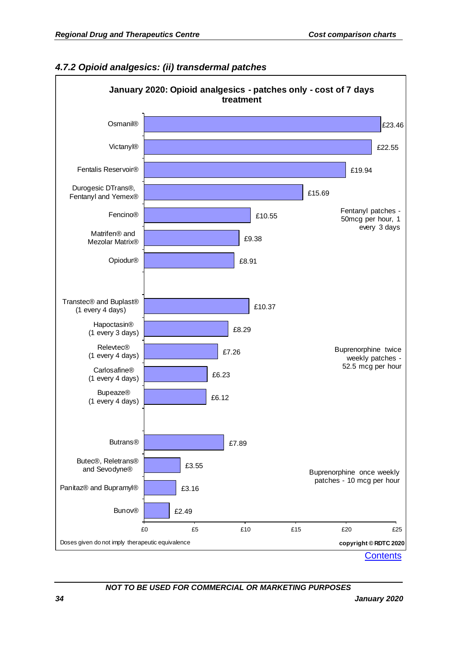

### <span id="page-33-0"></span>*4.7.2 Opioid analgesics: (ii) transdermal patches*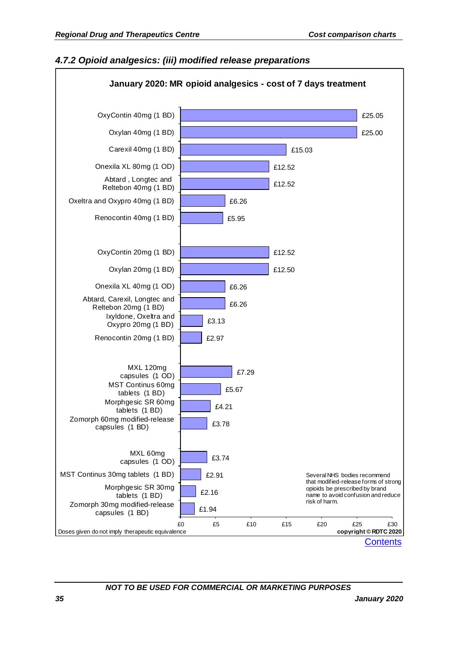### <span id="page-34-0"></span>*4.7.2 Opioid analgesics: (iii) modified release preparations*

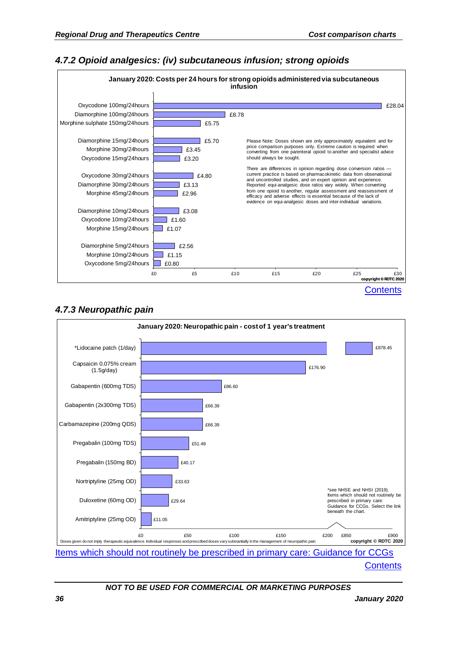### <span id="page-35-0"></span>*4.7.2 Opioid analgesics: (iv) subcutaneous infusion; strong opioids*



### <span id="page-35-1"></span>*4.7.3 Neuropathic pain*



**[Contents](#page-2-0)**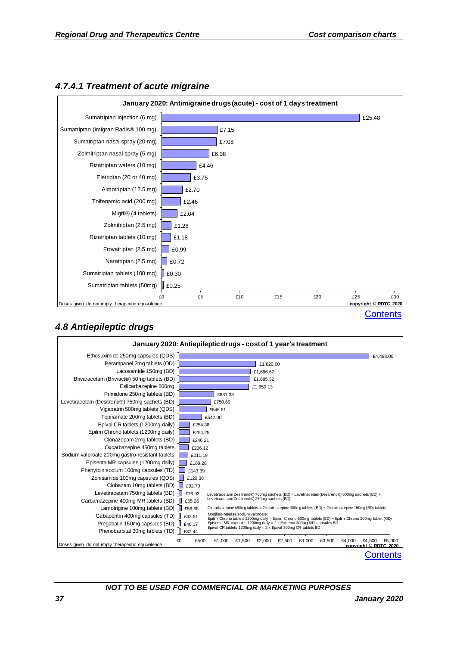

#### *4.7.4.1 Treatment of acute migraine*

## *4.8 Antiepileptic drugs*

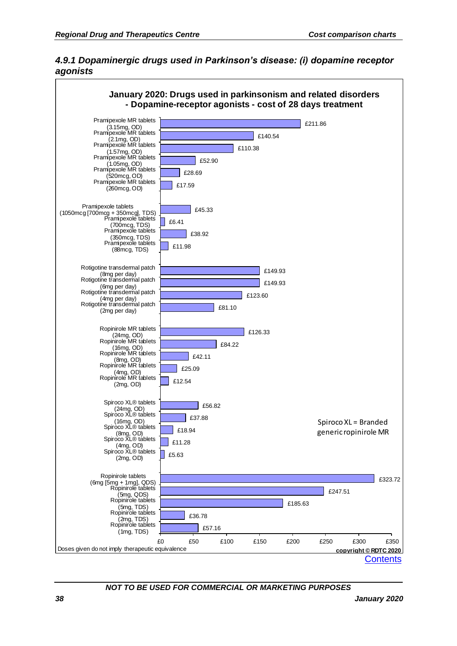

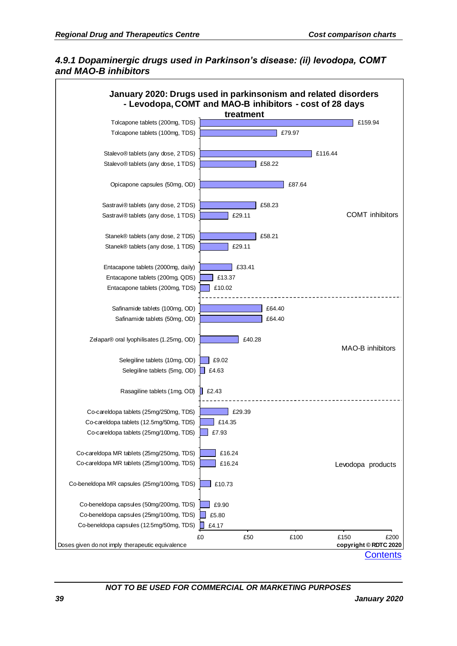#### *4.9.1 Dopaminergic drugs used in Parkinson's disease: (ii) levodopa, COMT and MAO-B inhibitors*

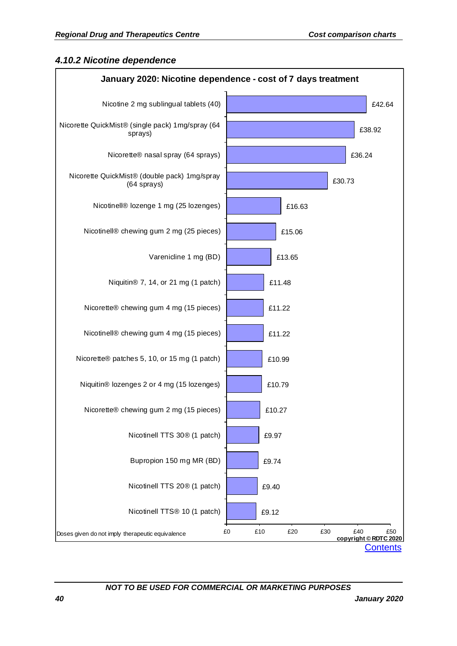#### *4.10.2 Nicotine dependence*

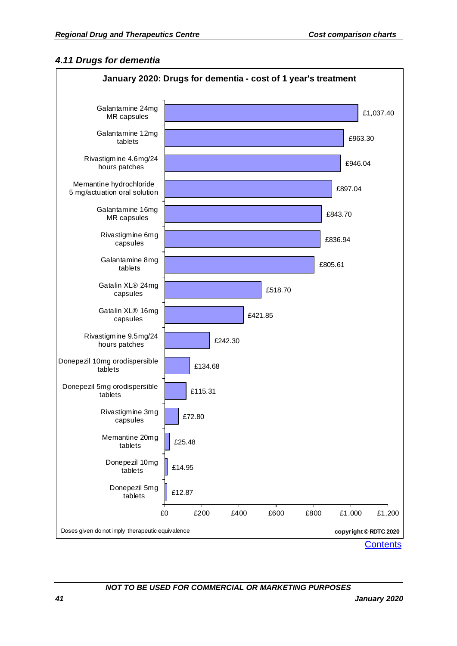#### *4.11 Drugs for dementia*

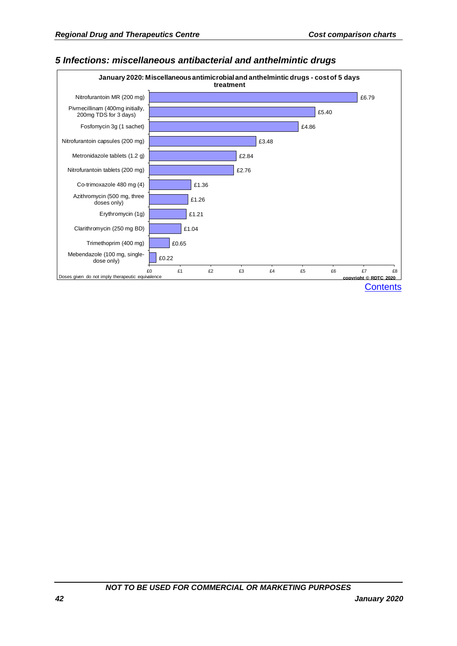

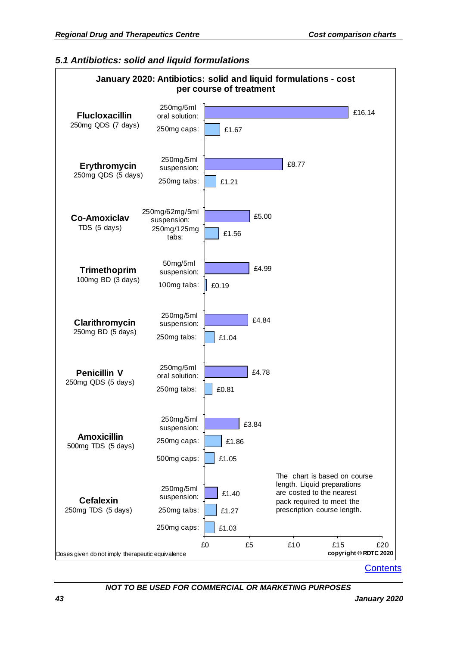#### *5.1 Antibiotics: solid and liquid formulations*



**[Contents](#page-2-0)**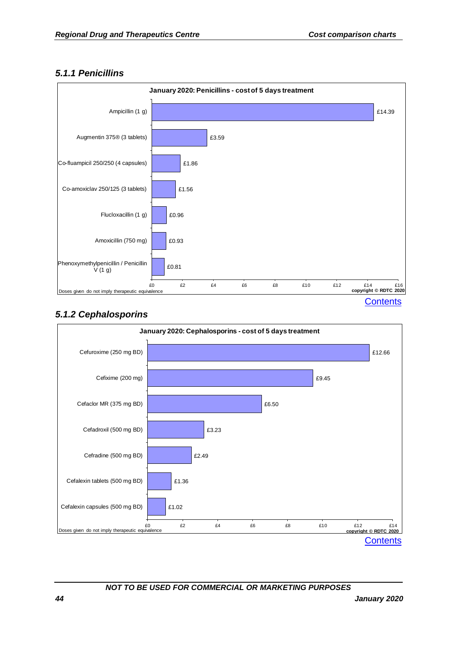## *5.1.1 Penicillins*



# *5.1.2 Cephalosporins*

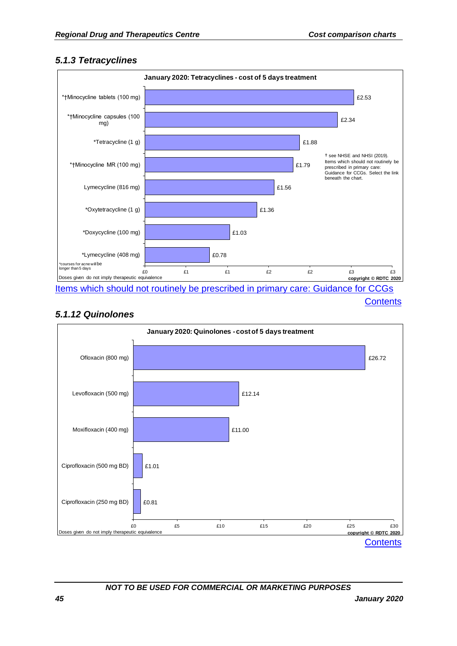#### *5.1.3 Tetracyclines*



**[Contents](#page-2-0)** 

# *5.1.12 Quinolones*

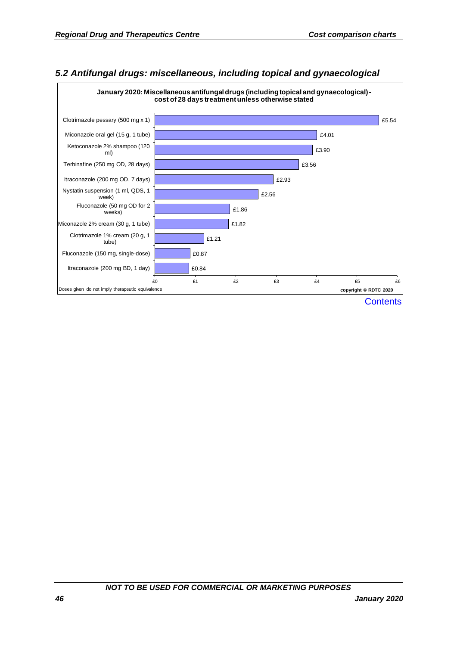

## *5.2 Antifungal drugs: miscellaneous, including topical and gynaecological*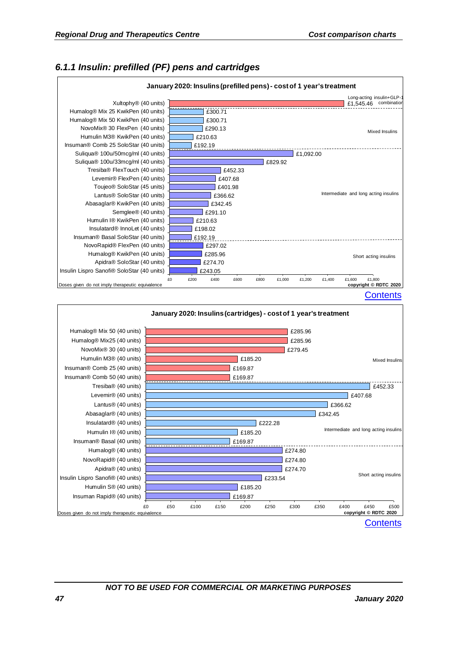# *6.1.1 Insulin: prefilled (PF) pens and cartridges*



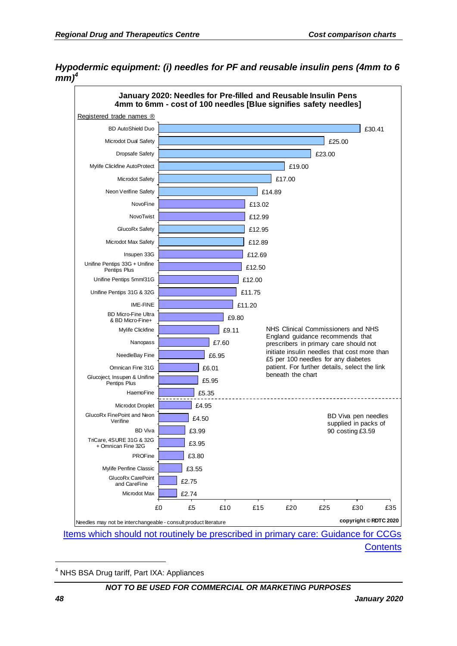#### *Hypodermic equipment: (i) needles for PF and reusable insulin pens (4mm to 6 mm)<sup>4</sup>*



[Items which should not routinely be prescribed in primary care: Guidance for CCGs](https://www.england.nhs.uk/wp-content/uploads/2019/08/items-which-should-not-routinely-be-prescribed-in-primary-care-v2.1.pdf) [Contents](#page-2-0)

<sup>4</sup> NHS BSA Drug tariff, Part IXA: Appliances

#### *NOT TO BE USED FOR COMMERCIAL OR MARKETING PURPOSES*

1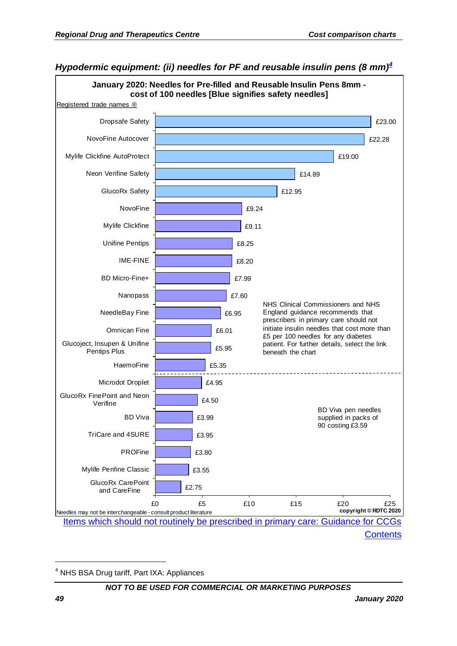

*Hypodermic equipment: (ii) needles for PF and reusable insulin pens (8 mm)<sup>4</sup>*

**[Contents](#page-2-0)** 

<sup>4</sup> NHS BSA Drug tariff, Part IXA: Appliances

#### *NOT TO BE USED FOR COMMERCIAL OR MARKETING PURPOSES*

1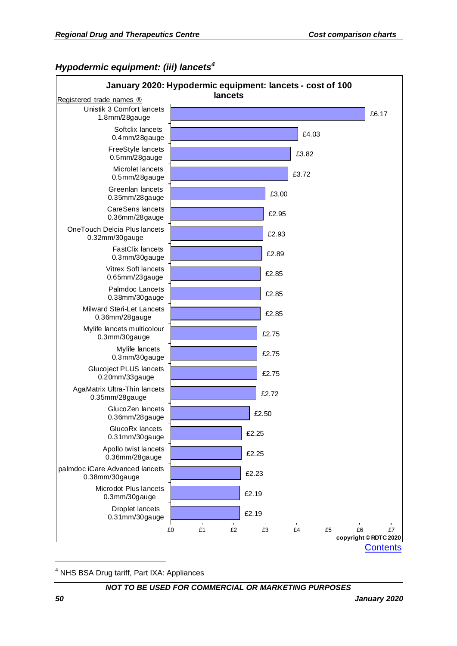## *Hypodermic equipment: (iii) lancets<sup>4</sup>*



<sup>4</sup> NHS BSA Drug tariff, Part IXA: Appliances

*NOT TO BE USED FOR COMMERCIAL OR MARKETING PURPOSES*

1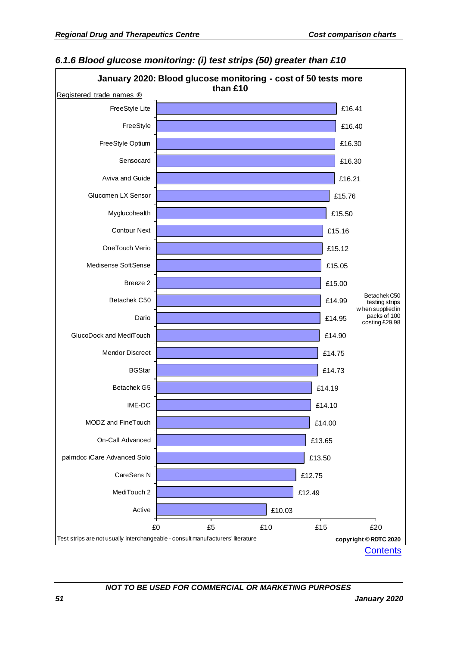

## *6.1.6 Blood glucose monitoring: (i) test strips (50) greater than £10*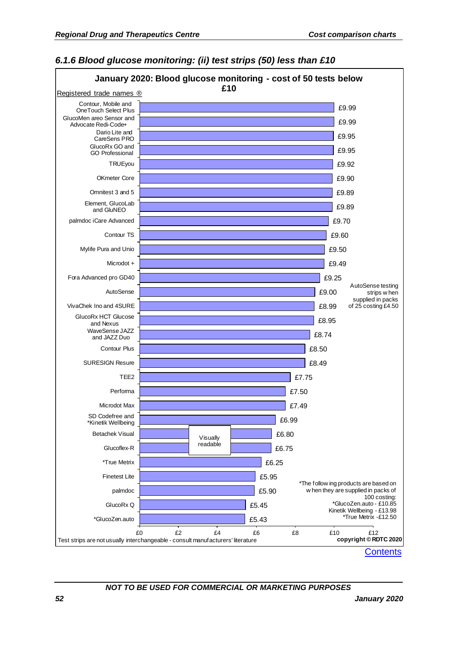

#### *6.1.6 Blood glucose monitoring: (ii) test strips (50) less than £10*

**[Contents](#page-2-0)**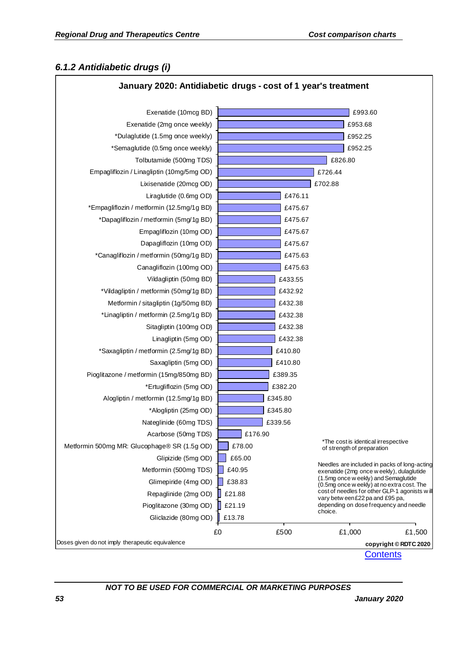#### *6.1.2 Antidiabetic drugs (i)*

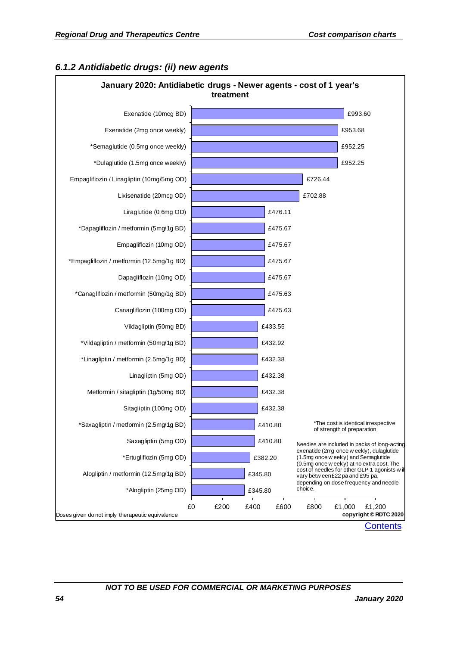

## *6.1.2 Antidiabetic drugs: (ii) new agents*

**[Contents](#page-2-0)**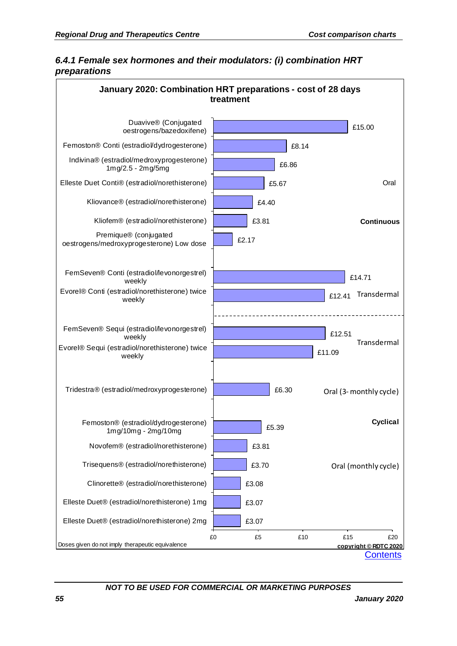## *6.4.1 Female sex hormones and their modulators: (i) combination HRT preparations*

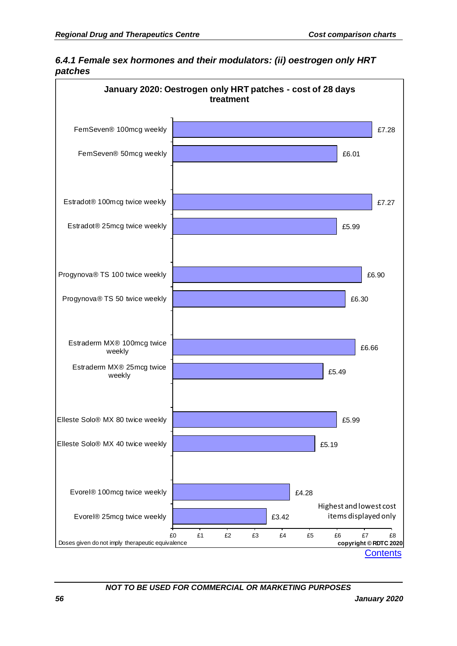

*6.4.1 Female sex hormones and their modulators: (ii) oestrogen only HRT patches*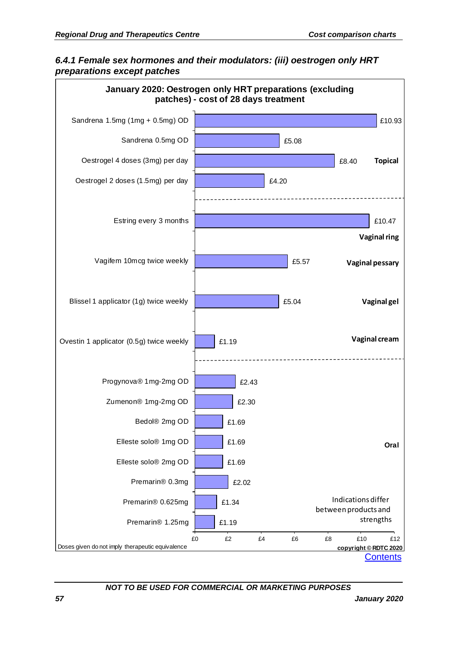#### *6.4.1 Female sex hormones and their modulators: (iii) oestrogen only HRT preparations except patches*

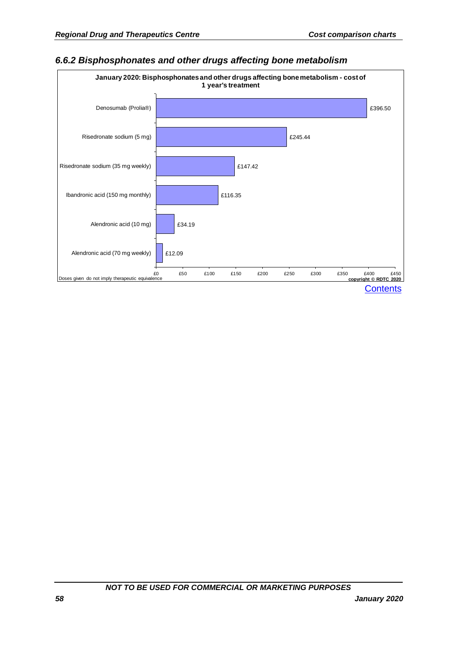#### *6.6.2 Bisphosphonates and other drugs affecting bone metabolism*

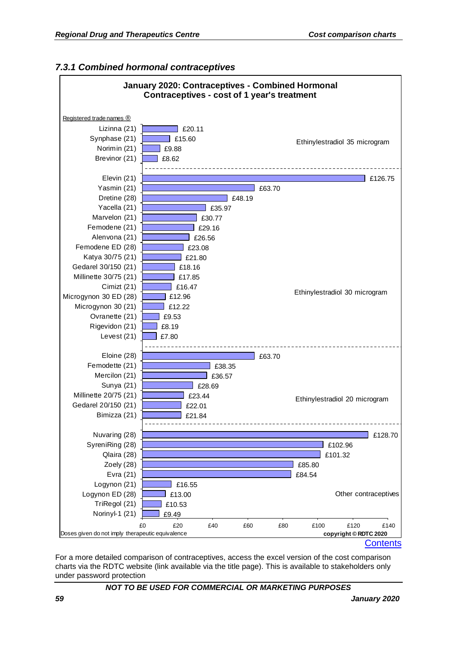

#### *7.3.1 Combined hormonal contraceptives*

For a more detailed comparison of contraceptives, access the excel version of the cost comparison charts via the RDTC website (link available via the title page). This is available to stakeholders only under password protection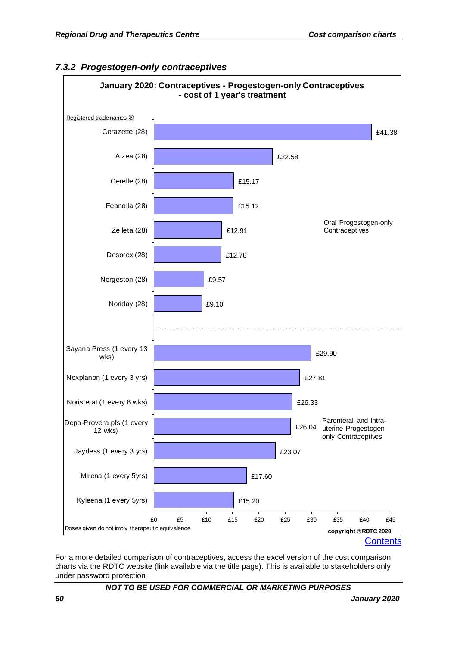

#### *7.3.2 Progestogen-only contraceptives*

For a more detailed comparison of contraceptives, access the excel version of the cost comparison charts via the RDTC website (link available via the title page). This is available to stakeholders only under password protection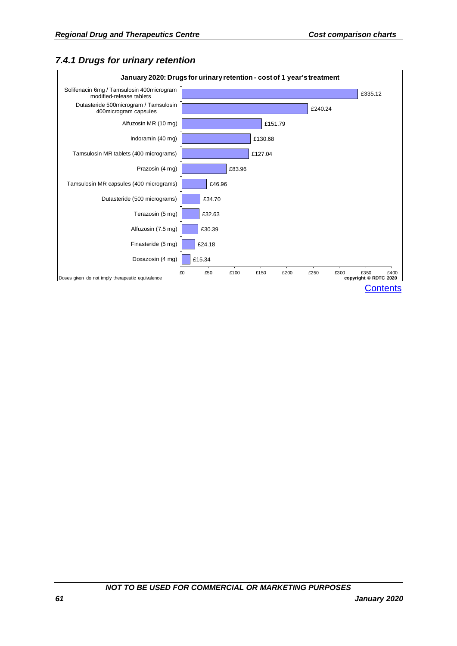## *7.4.1 Drugs for urinary retention*

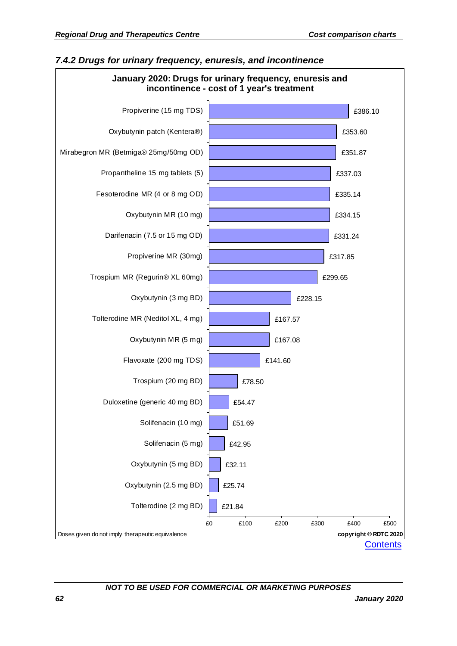

#### *7.4.2 Drugs for urinary frequency, enuresis, and incontinence*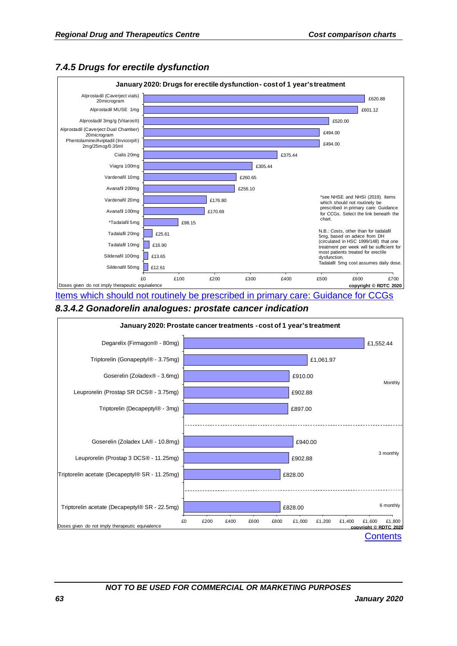

#### *7.4.5 Drugs for erectile dysfunction*

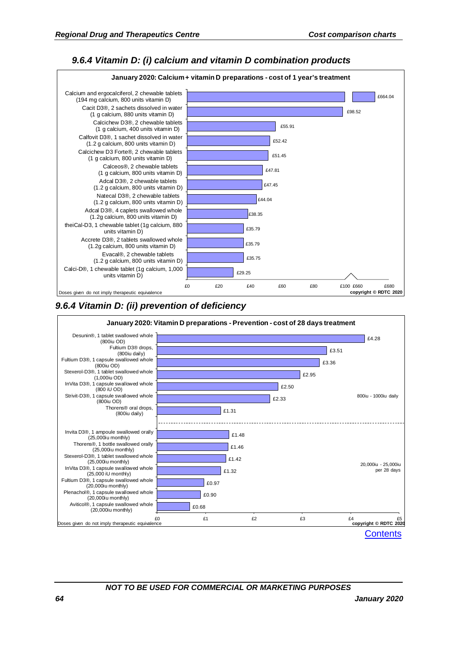#### *9.6.4 Vitamin D: (i) calcium and vitamin D combination products*





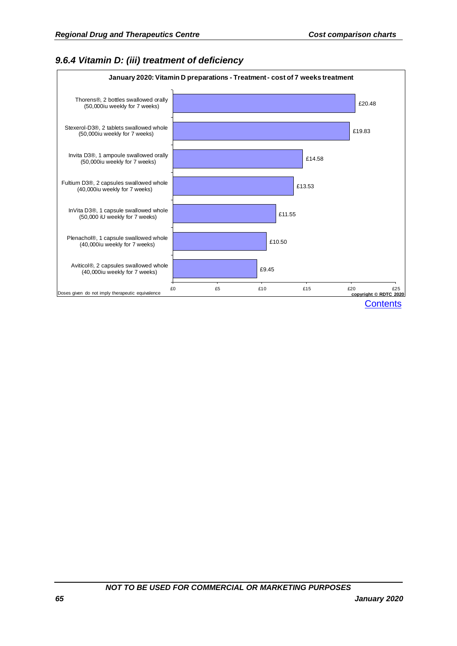## *9.6.4 Vitamin D: (iii) treatment of deficiency*

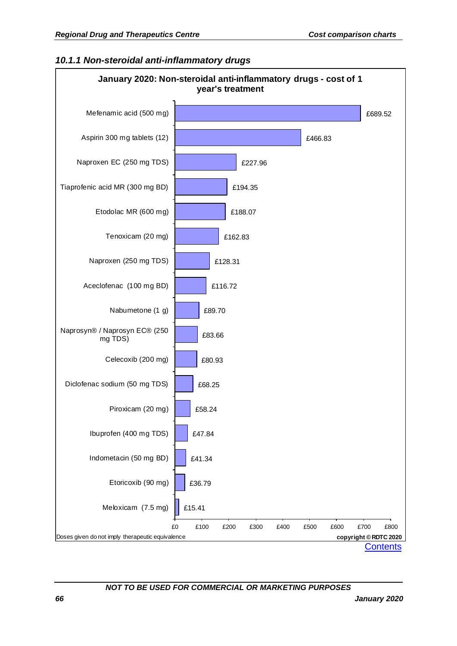#### *10.1.1 Non-steroidal anti-inflammatory drugs*

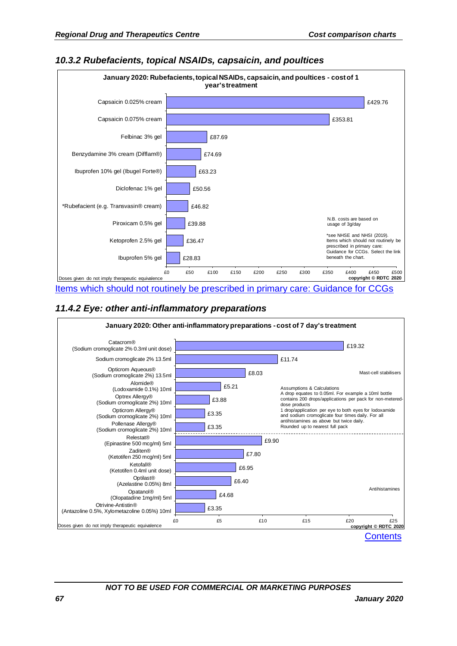#### £28.83 £36.47 £39.88 £46.82 £50.56 £63.23 £74.69 £87.69 £353.81 £429.76 £0 £50 £100 £150 £200 £250 £300 £350 £400 £450 £500 Ibuprofen 5% gel Ketoprofen 2.5% gel Piroxicam 0.5% gel \*Rubefacient (e.g. Transvasin® cream) Diclofenac 1% gel Ibuprofen 10% gel (Ibugel Forte®) Benzydamine 3% cream (Difflam®) Felbinac 3% gel Capsaicin 0.075% cream Capsaicin 0.025% cream **January 2020: Rubefacients, topical NSAIDs, capsaicin, and poultices - cost of 1 year's treatment** Doses given do not imply therapeutic equivalence \*see NHSE and NHSI (2019). Items which should not routinely be prescribed in primary care: Guidance for CCGs. Select the link beneath the chart. N.B. costs are based on usage of 3g/day [Items which should not routinely be prescribed in primary care: Guidance for CCGs](https://www.england.nhs.uk/wp-content/uploads/2019/08/items-which-should-not-routinely-be-prescribed-in-primary-care-v2.1.pdf)

#### *10.3.2 Rubefacients, topical NSAIDs, capsaicin, and poultices*

#### *11.4.2 Eye: other anti-inflammatory preparations*

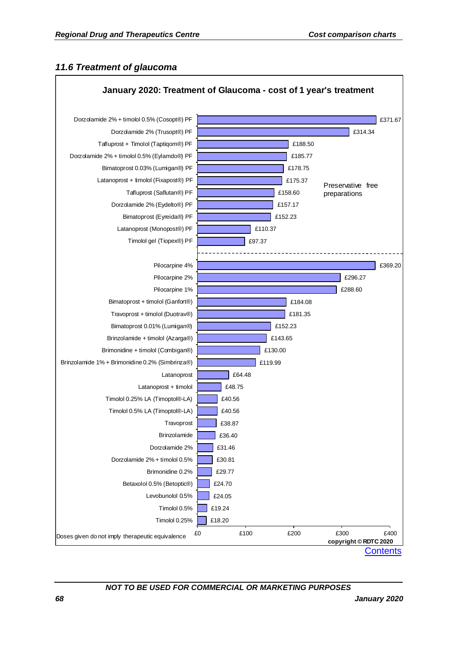#### *11.6 Treatment of glaucoma*

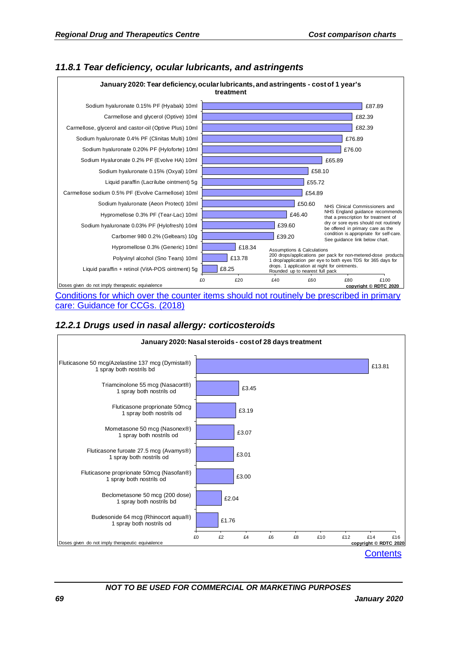

#### *11.8.1 Tear deficiency, ocular lubricants, and astringents*

Conditions for which over the counter items should not routinely be prescribed in primary [care: Guidance for CCGs. \(2018\)](https://www.england.nhs.uk/publication/conditions-for-which-over-the-counter-items-should-not-routinely-be-prescribed-in-primary-care-guidance-for-ccgs/)

## *12.2.1 Drugs used in nasal allergy: corticosteroids*

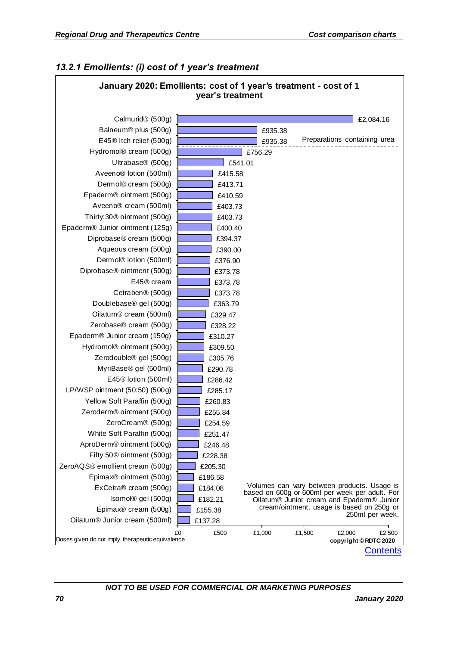#### *13.2.1 Emollients: (i) cost of 1 year's treatment*

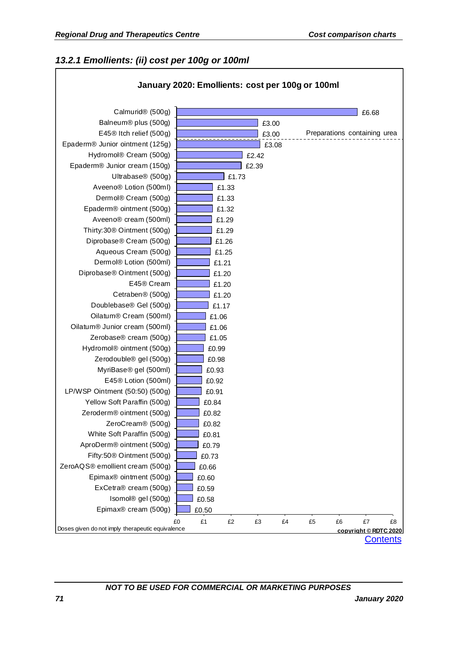## *13.2.1 Emollients: (ii) cost per 100g or 100ml*

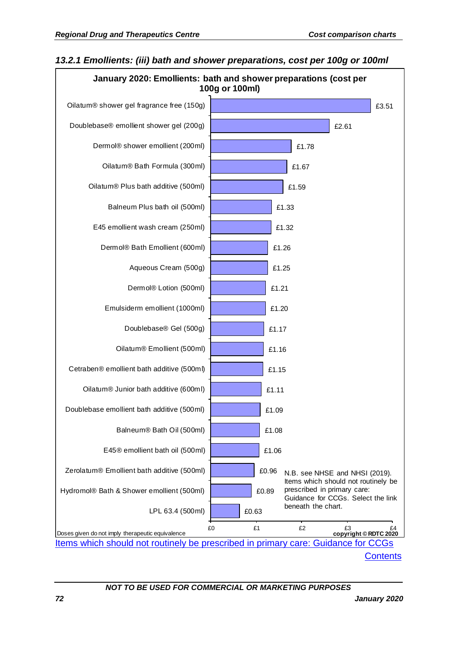

#### *13.2.1 Emollients: (iii) bath and shower preparations, cost per 100g or 100ml*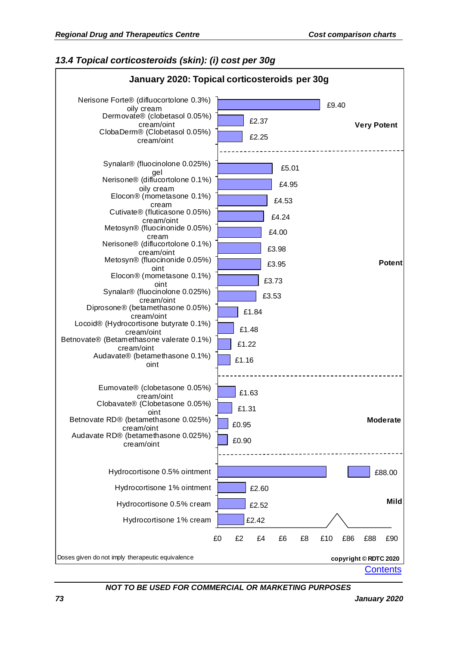## *13.4 Topical corticosteroids (skin): (i) cost per 30g*

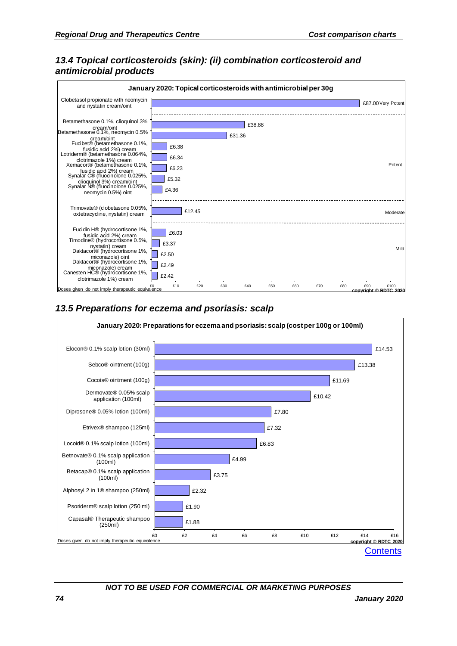## *13.4 Topical corticosteroids (skin): (ii) combination corticosteroid and antimicrobial products*



### *13.5 Preparations for eczema and psoriasis: scalp*

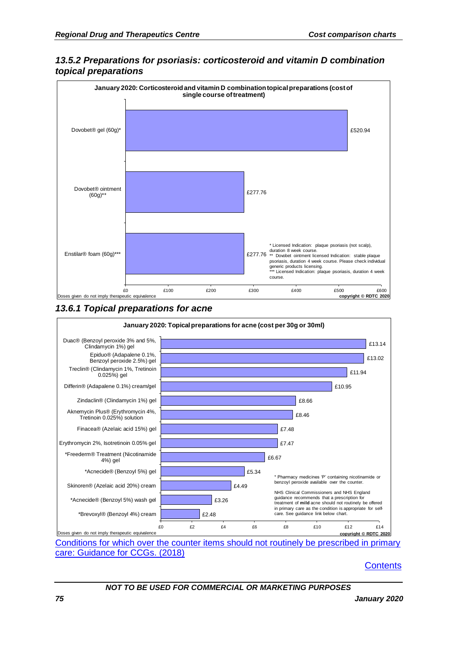

## *13.5.2 Preparations for psoriasis: corticosteroid and vitamin D combination topical preparations*

*13.6.1 Topical preparations for acne*



[Conditions for which over the counter items should not routinely be prescribed in primary](https://www.england.nhs.uk/publication/conditions-for-which-over-the-counter-items-should-not-routinely-be-prescribed-in-primary-care-guidance-for-ccgs/)  [care: Guidance for CCGs. \(2018\)](https://www.england.nhs.uk/publication/conditions-for-which-over-the-counter-items-should-not-routinely-be-prescribed-in-primary-care-guidance-for-ccgs/)

#### **[Contents](#page-2-0)**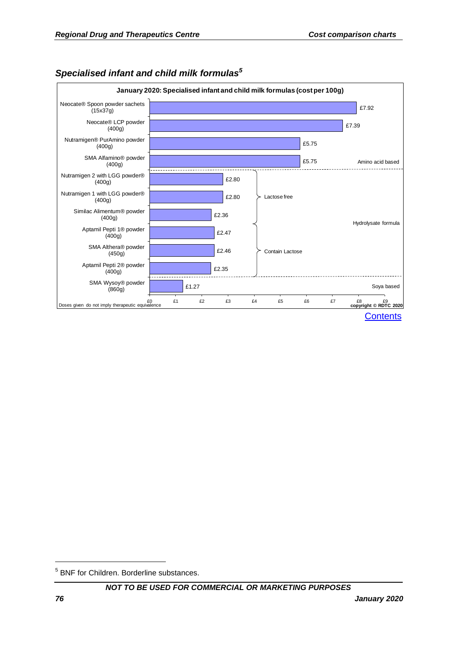

# *Specialised infant and child milk formulas<sup>5</sup>*

1

<sup>5</sup> BNF for Children. Borderline substances.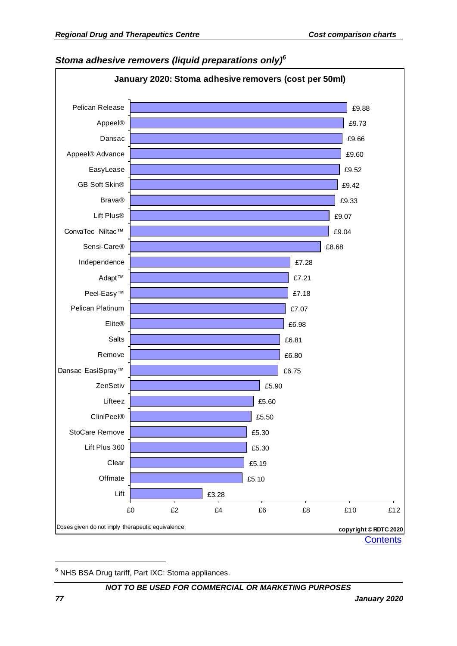# *Stoma adhesive removers (liquid preparations only)<sup>6</sup>*



<sup>6</sup> NHS BSA Drug tariff, Part IXC: Stoma appliances.

#### *NOT TO BE USED FOR COMMERCIAL OR MARKETING PURPOSES*

1